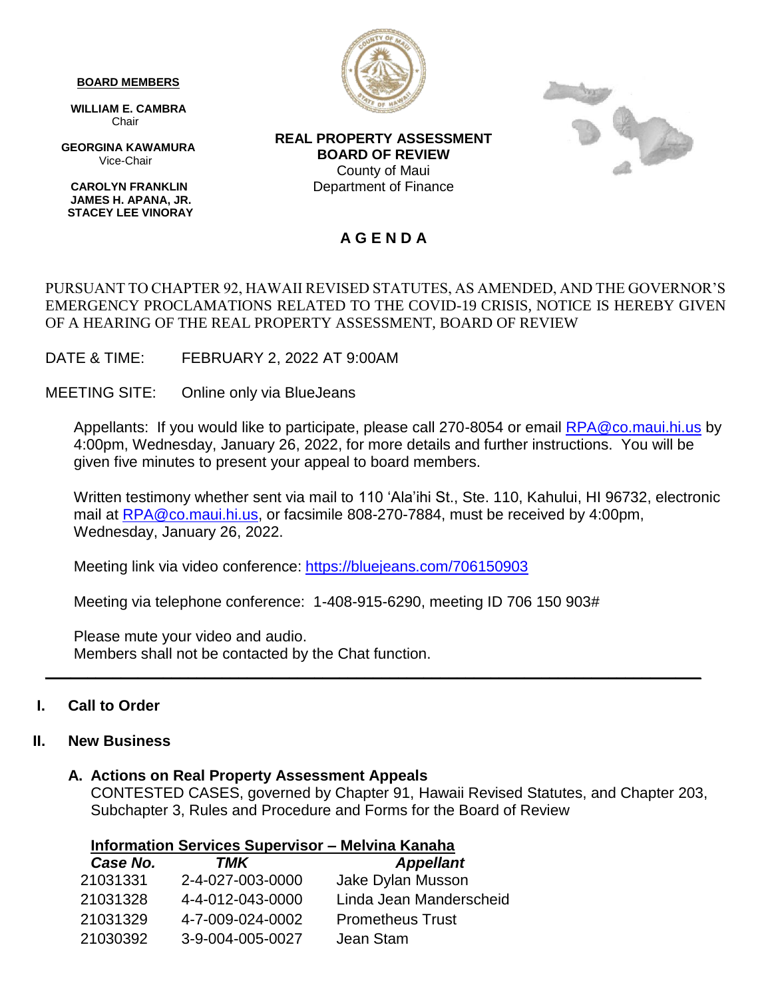#### **BOARD MEMBERS**

 **WILLIAM E. CAMBRA** Chair

 **GEORGINA KAWAMURA** Vice-Chair

 **CAROLYN FRANKLIN JAMES H. APANA, JR. STACEY LEE VINORAY**



**REAL PROPERTY ASSESSMENT BOARD OF REVIEW** County of Maui Department of Finance



# **A G E N D A**

# PURSUANT TO CHAPTER 92, HAWAII REVISED STATUTES, AS AMENDED, AND THE GOVERNOR'S EMERGENCY PROCLAMATIONS RELATED TO THE COVID-19 CRISIS, NOTICE IS HEREBY GIVEN OF A HEARING OF THE REAL PROPERTY ASSESSMENT, BOARD OF REVIEW

DATE & TIME: FEBRUARY 2, 2022 AT 9:00AM

MEETING SITE: Online only via BlueJeans

Appellants: If you would like to participate, please call 270-8054 or email [RPA@co.maui.hi.us](mailto:RPA@co.maui.hi.us) by 4:00pm, Wednesday, January 26, 2022, for more details and further instructions. You will be given five minutes to present your appeal to board members.

Written testimony whether sent via mail to 110 'Ala'ihi St., Ste. 110, Kahului, HI 96732, electronic mail at [RPA@co.maui.hi.us,](mailto:RPA@co.maui.hi.us) or facsimile 808-270-7884, must be received by 4:00pm, Wednesday, January 26, 2022.

Meeting link via video conference: <https://bluejeans.com/706150903>

Meeting via telephone conference: 1-408-915-6290, meeting ID 706 150 903#

**\_\_\_\_\_\_\_\_\_\_\_\_\_\_\_\_\_\_\_\_\_\_\_\_\_\_\_\_\_\_\_\_\_\_\_\_\_\_\_\_\_\_\_\_\_\_\_\_\_\_\_\_\_\_\_\_\_\_\_\_\_\_\_\_\_\_\_\_\_\_\_\_\_\_\_\_\_\_**

Please mute your video and audio. Members shall not be contacted by the Chat function.

# **I. Call to Order**

### **II. New Business**

### **A. Actions on Real Property Assessment Appeals**

CONTESTED CASES, governed by Chapter 91, Hawaii Revised Statutes, and Chapter 203, Subchapter 3, Rules and Procedure and Forms for the Board of Review

|                                       |        | <b>Information Services Supervisor - Melvina Kanaha</b> |
|---------------------------------------|--------|---------------------------------------------------------|
| $C_{\alpha\alpha\alpha}$ $N_{\alpha}$ | TN NIZ | $A$ <sub>nn</sub>                                       |

| Case No. | TMK              | <b>Appellant</b>        |
|----------|------------------|-------------------------|
| 21031331 | 2-4-027-003-0000 | Jake Dylan Musson       |
| 21031328 | 4-4-012-043-0000 | Linda Jean Manderscheid |
| 21031329 | 4-7-009-024-0002 | <b>Prometheus Trust</b> |
| 21030392 | 3-9-004-005-0027 | Jean Stam               |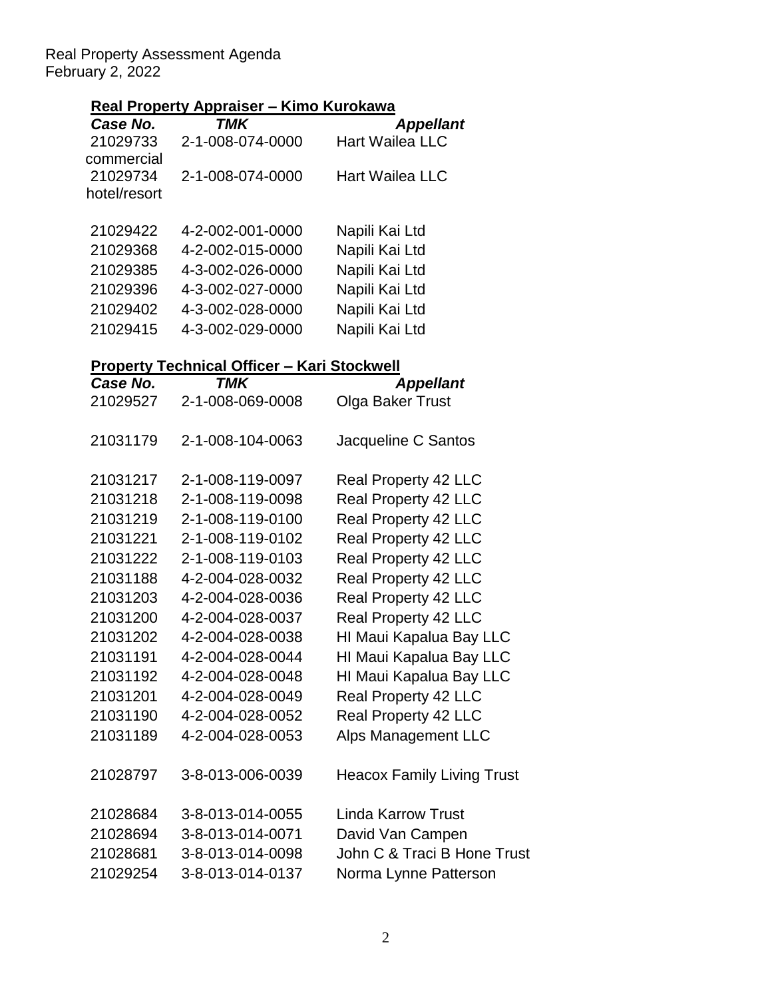Real Property Assessment Agenda February 2, 2022

# **Real Property Appraiser – Kimo Kurokawa**

| Case No.     | TMK              | <b>Appellant</b>       |
|--------------|------------------|------------------------|
| 21029733     | 2-1-008-074-0000 | <b>Hart Wailea LLC</b> |
| commercial   |                  |                        |
| 21029734     | 2-1-008-074-0000 | <b>Hart Wailea LLC</b> |
| hotel/resort |                  |                        |
|              |                  |                        |
| 21029422     | 4-2-002-001-0000 | Napili Kai Ltd         |
| 21029368     | 4-2-002-015-0000 | Napili Kai Ltd         |
| 21029385     | 4-3-002-026-0000 | Napili Kai Ltd         |
| 21029396     | 4-3-002-027-0000 | Napili Kai Ltd         |
| 21029402     | 4-3-002-028-0000 | Napili Kai Ltd         |
| 21029415     | 4-3-002-029-0000 | Napili Kai Ltd         |
|              |                  |                        |

# **Property Technical Officer – Kari Stockwell**

| Case No. | <b>TMK</b>       | <b>Appellant</b>                  |
|----------|------------------|-----------------------------------|
| 21029527 | 2-1-008-069-0008 | Olga Baker Trust                  |
| 21031179 | 2-1-008-104-0063 | Jacqueline C Santos               |
| 21031217 | 2-1-008-119-0097 | Real Property 42 LLC              |
| 21031218 | 2-1-008-119-0098 | Real Property 42 LLC              |
| 21031219 | 2-1-008-119-0100 | Real Property 42 LLC              |
| 21031221 | 2-1-008-119-0102 | Real Property 42 LLC              |
| 21031222 | 2-1-008-119-0103 | Real Property 42 LLC              |
| 21031188 | 4-2-004-028-0032 | Real Property 42 LLC              |
| 21031203 | 4-2-004-028-0036 | Real Property 42 LLC              |
| 21031200 | 4-2-004-028-0037 | Real Property 42 LLC              |
| 21031202 | 4-2-004-028-0038 | HI Maui Kapalua Bay LLC           |
| 21031191 | 4-2-004-028-0044 | HI Maui Kapalua Bay LLC           |
| 21031192 | 4-2-004-028-0048 | HI Maui Kapalua Bay LLC           |
| 21031201 | 4-2-004-028-0049 | Real Property 42 LLC              |
| 21031190 | 4-2-004-028-0052 | Real Property 42 LLC              |
| 21031189 | 4-2-004-028-0053 | <b>Alps Management LLC</b>        |
| 21028797 | 3-8-013-006-0039 | <b>Heacox Family Living Trust</b> |
| 21028684 | 3-8-013-014-0055 | <b>Linda Karrow Trust</b>         |
| 21028694 | 3-8-013-014-0071 | David Van Campen                  |
| 21028681 | 3-8-013-014-0098 | John C & Traci B Hone Trust       |
| 21029254 | 3-8-013-014-0137 | Norma Lynne Patterson             |
|          |                  |                                   |